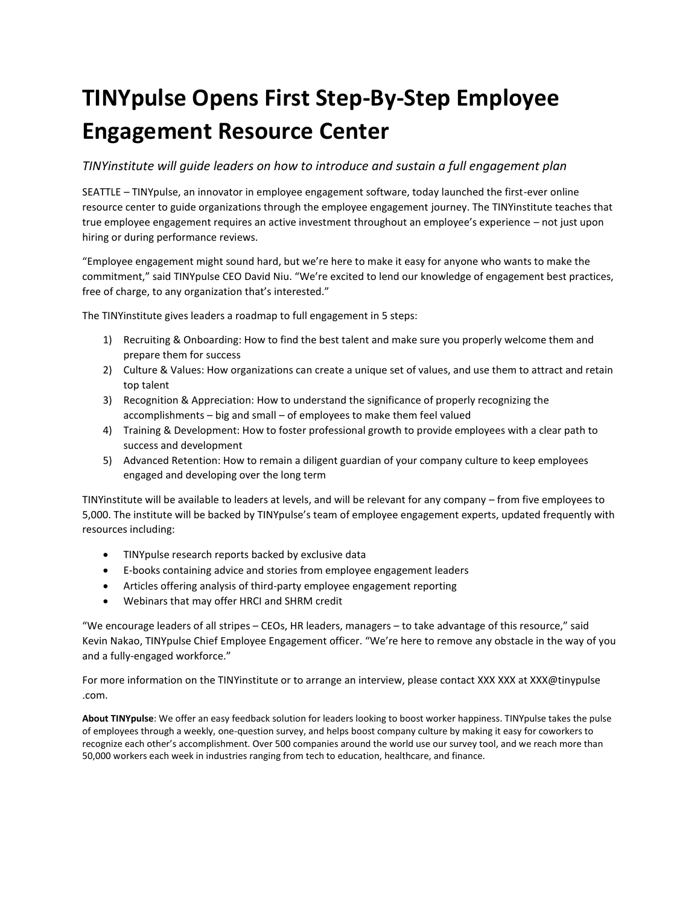# **TINYpulse Opens First Step-By-Step Employee Engagement Resource Center**

### *TINYinstitute will guide leaders on how to introduce and sustain a full engagement plan*

SEATTLE – TINYpulse, an innovator in employee engagement software, today launched the first-ever online resource center to guide organizations through the employee engagement journey. The TINYinstitute teaches that true employee engagement requires an active investment throughout an employee's experience – not just upon hiring or during performance reviews.

"Employee engagement might sound hard, but we're here to make it easy for anyone who wants to make the commitment," said TINYpulse CEO David Niu. "We're excited to lend our knowledge of engagement best practices, free of charge, to any organization that's interested."

The TINYinstitute gives leaders a roadmap to full engagement in 5 steps:

- 1) Recruiting & Onboarding: How to find the best talent and make sure you properly welcome them and prepare them for success
- 2) Culture & Values: How organizations can create a unique set of values, and use them to attract and retain top talent
- 3) Recognition & Appreciation: How to understand the significance of properly recognizing the accomplishments – big and small – of employees to make them feel valued
- 4) Training & Development: How to foster professional growth to provide employees with a clear path to success and development
- 5) Advanced Retention: How to remain a diligent guardian of your company culture to keep employees engaged and developing over the long term

TINYinstitute will be available to leaders at levels, and will be relevant for any company – from five employees to 5,000. The institute will be backed by TINYpulse's team of employee engagement experts, updated frequently with resources including:

- TINYpulse research reports backed by exclusive data
- E-books containing advice and stories from employee engagement leaders
- Articles offering analysis of third-party employee engagement reporting
- Webinars that may offer HRCI and SHRM credit

"We encourage leaders of all stripes – CEOs, HR leaders, managers – to take advantage of this resource," said Kevin Nakao, TINYpulse Chief Employee Engagement officer. "We're here to remove any obstacle in the way of you and a fully-engaged workforce."

For more information on the TINYinstitute or to arrange an interview, please contact XXX XXX at XXX@tinypulse .com.

**About TINYpulse**: We offer an easy feedback solution for leaders looking to boost worker happiness. TINYpulse takes the pulse of employees through a weekly, one-question survey, and helps boost company culture by making it easy for coworkers to recognize each other's accomplishment. Over 500 companies around the world use our survey tool, and we reach more than 50,000 workers each week in industries ranging from tech to education, healthcare, and finance.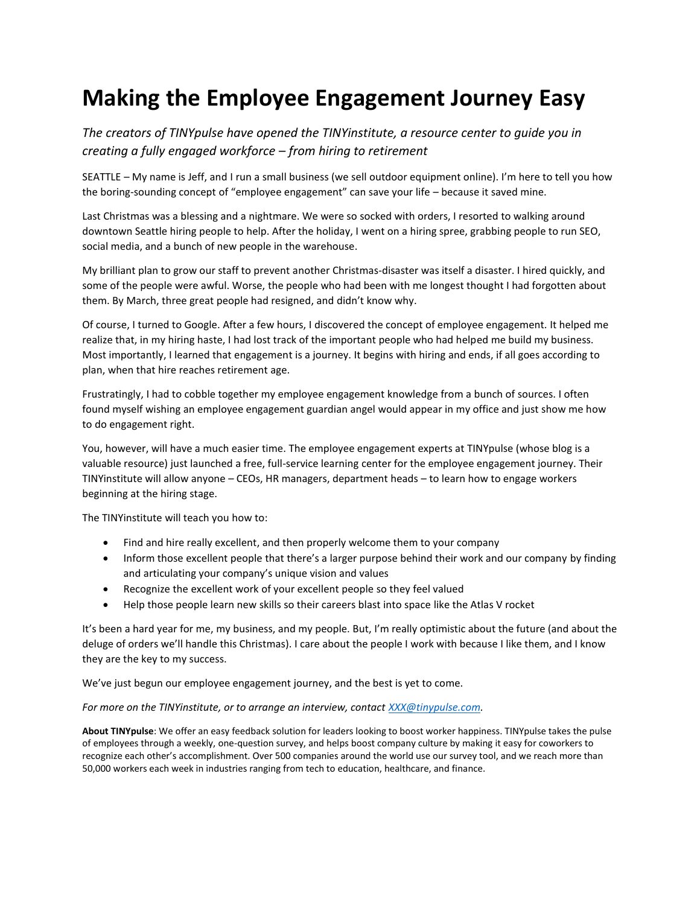## **Making the Employee Engagement Journey Easy**

*The creators of TINYpulse have opened the TINYinstitute, a resource center to guide you in creating a fully engaged workforce – from hiring to retirement*

SEATTLE – My name is Jeff, and I run a small business (we sell outdoor equipment online). I'm here to tell you how the boring-sounding concept of "employee engagement" can save your life – because it saved mine.

Last Christmas was a blessing and a nightmare. We were so socked with orders, I resorted to walking around downtown Seattle hiring people to help. After the holiday, I went on a hiring spree, grabbing people to run SEO, social media, and a bunch of new people in the warehouse.

My brilliant plan to grow our staff to prevent another Christmas-disaster was itself a disaster. I hired quickly, and some of the people were awful. Worse, the people who had been with me longest thought I had forgotten about them. By March, three great people had resigned, and didn't know why.

Of course, I turned to Google. After a few hours, I discovered the concept of employee engagement. It helped me realize that, in my hiring haste, I had lost track of the important people who had helped me build my business. Most importantly, I learned that engagement is a journey. It begins with hiring and ends, if all goes according to plan, when that hire reaches retirement age.

Frustratingly, I had to cobble together my employee engagement knowledge from a bunch of sources. I often found myself wishing an employee engagement guardian angel would appear in my office and just show me how to do engagement right.

You, however, will have a much easier time. The employee engagement experts at TINYpulse (whose blog is a valuable resource) just launched a free, full-service learning center for the employee engagement journey. Their TINYinstitute will allow anyone – CEOs, HR managers, department heads – to learn how to engage workers beginning at the hiring stage.

The TINYinstitute will teach you how to:

- Find and hire really excellent, and then properly welcome them to your company
- Inform those excellent people that there's a larger purpose behind their work and our company by finding and articulating your company's unique vision and values
- Recognize the excellent work of your excellent people so they feel valued
- Help those people learn new skills so their careers blast into space like the Atlas V rocket

It's been a hard year for me, my business, and my people. But, I'm really optimistic about the future (and about the deluge of orders we'll handle this Christmas). I care about the people I work with because I like them, and I know they are the key to my success.

We've just begun our employee engagement journey, and the best is yet to come.

#### *For more on the TINYinstitute, or to arrange an interview, contac[t XXX@tinypulse.com.](mailto:XXX@tinypulse.com)*

**About TINYpulse**: We offer an easy feedback solution for leaders looking to boost worker happiness. TINYpulse takes the pulse of employees through a weekly, one-question survey, and helps boost company culture by making it easy for coworkers to recognize each other's accomplishment. Over 500 companies around the world use our survey tool, and we reach more than 50,000 workers each week in industries ranging from tech to education, healthcare, and finance.